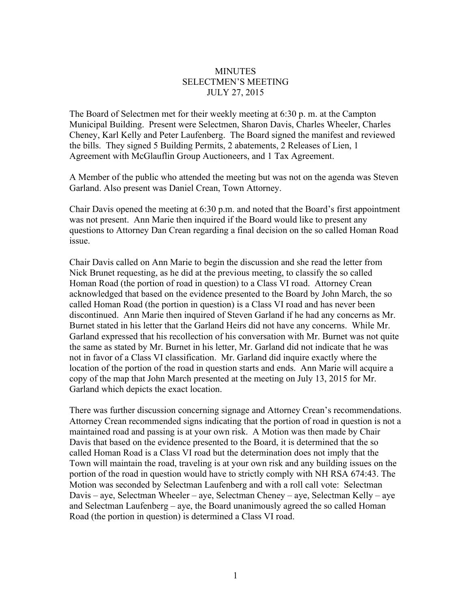## **MINUTES** SELECTMEN'S MEETING JULY 27, 2015

The Board of Selectmen met for their weekly meeting at 6:30 p. m. at the Campton Municipal Building. Present were Selectmen, Sharon Davis, Charles Wheeler, Charles Cheney, Karl Kelly and Peter Laufenberg. The Board signed the manifest and reviewed the bills. They signed 5 Building Permits, 2 abatements, 2 Releases of Lien, 1 Agreement with McGlauflin Group Auctioneers, and 1 Tax Agreement.

A Member of the public who attended the meeting but was not on the agenda was Steven Garland. Also present was Daniel Crean, Town Attorney.

Chair Davis opened the meeting at 6:30 p.m. and noted that the Board's first appointment was not present. Ann Marie then inquired if the Board would like to present any questions to Attorney Dan Crean regarding a final decision on the so called Homan Road issue.

Chair Davis called on Ann Marie to begin the discussion and she read the letter from Nick Brunet requesting, as he did at the previous meeting, to classify the so called Homan Road (the portion of road in question) to a Class VI road. Attorney Crean acknowledged that based on the evidence presented to the Board by John March, the so called Homan Road (the portion in question) is a Class VI road and has never been discontinued. Ann Marie then inquired of Steven Garland if he had any concerns as Mr. Burnet stated in his letter that the Garland Heirs did not have any concerns. While Mr. Garland expressed that his recollection of his conversation with Mr. Burnet was not quite the same as stated by Mr. Burnet in his letter, Mr. Garland did not indicate that he was not in favor of a Class VI classification. Mr. Garland did inquire exactly where the location of the portion of the road in question starts and ends. Ann Marie will acquire a copy of the map that John March presented at the meeting on July 13, 2015 for Mr. Garland which depicts the exact location.

There was further discussion concerning signage and Attorney Crean's recommendations. Attorney Crean recommended signs indicating that the portion of road in question is not a maintained road and passing is at your own risk. A Motion was then made by Chair Davis that based on the evidence presented to the Board, it is determined that the so called Homan Road is a Class VI road but the determination does not imply that the Town will maintain the road, traveling is at your own risk and any building issues on the portion of the road in question would have to strictly comply with NH RSA 674:43. The Motion was seconded by Selectman Laufenberg and with a roll call vote: Selectman Davis – aye, Selectman Wheeler – aye, Selectman Cheney – aye, Selectman Kelly – aye and Selectman Laufenberg – aye, the Board unanimously agreed the so called Homan Road (the portion in question) is determined a Class VI road.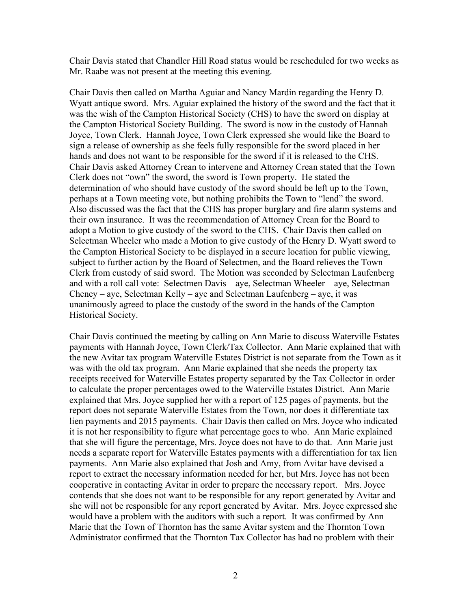Chair Davis stated that Chandler Hill Road status would be rescheduled for two weeks as Mr. Raabe was not present at the meeting this evening.

Chair Davis then called on Martha Aguiar and Nancy Mardin regarding the Henry D. Wyatt antique sword. Mrs. Aguiar explained the history of the sword and the fact that it was the wish of the Campton Historical Society (CHS) to have the sword on display at the Campton Historical Society Building. The sword is now in the custody of Hannah Joyce, Town Clerk. Hannah Joyce, Town Clerk expressed she would like the Board to sign a release of ownership as she feels fully responsible for the sword placed in her hands and does not want to be responsible for the sword if it is released to the CHS. Chair Davis asked Attorney Crean to intervene and Attorney Crean stated that the Town Clerk does not "own" the sword, the sword is Town property. He stated the determination of who should have custody of the sword should be left up to the Town, perhaps at a Town meeting vote, but nothing prohibits the Town to "lend" the sword. Also discussed was the fact that the CHS has proper burglary and fire alarm systems and their own insurance. It was the recommendation of Attorney Crean for the Board to adopt a Motion to give custody of the sword to the CHS. Chair Davis then called on Selectman Wheeler who made a Motion to give custody of the Henry D. Wyatt sword to the Campton Historical Society to be displayed in a secure location for public viewing, subject to further action by the Board of Selectmen, and the Board relieves the Town Clerk from custody of said sword. The Motion was seconded by Selectman Laufenberg and with a roll call vote: Selectmen Davis – aye, Selectman Wheeler – aye, Selectman Cheney – aye, Selectman Kelly – aye and Selectman Laufenberg – aye, it was unanimously agreed to place the custody of the sword in the hands of the Campton Historical Society.

Chair Davis continued the meeting by calling on Ann Marie to discuss Waterville Estates payments with Hannah Joyce, Town Clerk/Tax Collector. Ann Marie explained that with the new Avitar tax program Waterville Estates District is not separate from the Town as it was with the old tax program. Ann Marie explained that she needs the property tax receipts received for Waterville Estates property separated by the Tax Collector in order to calculate the proper percentages owed to the Waterville Estates District. Ann Marie explained that Mrs. Joyce supplied her with a report of 125 pages of payments, but the report does not separate Waterville Estates from the Town, nor does it differentiate tax lien payments and 2015 payments. Chair Davis then called on Mrs. Joyce who indicated it is not her responsibility to figure what percentage goes to who. Ann Marie explained that she will figure the percentage, Mrs. Joyce does not have to do that. Ann Marie just needs a separate report for Waterville Estates payments with a differentiation for tax lien payments. Ann Marie also explained that Josh and Amy, from Avitar have devised a report to extract the necessary information needed for her, but Mrs. Joyce has not been cooperative in contacting Avitar in order to prepare the necessary report. Mrs. Joyce contends that she does not want to be responsible for any report generated by Avitar and she will not be responsible for any report generated by Avitar. Mrs. Joyce expressed she would have a problem with the auditors with such a report. It was confirmed by Ann Marie that the Town of Thornton has the same Avitar system and the Thornton Town Administrator confirmed that the Thornton Tax Collector has had no problem with their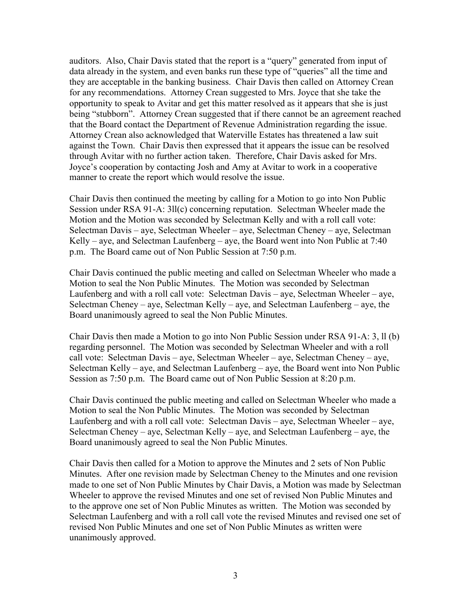auditors. Also, Chair Davis stated that the report is a "query" generated from input of data already in the system, and even banks run these type of "queries" all the time and they are acceptable in the banking business. Chair Davis then called on Attorney Crean for any recommendations. Attorney Crean suggested to Mrs. Joyce that she take the opportunity to speak to Avitar and get this matter resolved as it appears that she is just being "stubborn". Attorney Crean suggested that if there cannot be an agreement reached that the Board contact the Department of Revenue Administration regarding the issue. Attorney Crean also acknowledged that Waterville Estates has threatened a law suit against the Town. Chair Davis then expressed that it appears the issue can be resolved through Avitar with no further action taken. Therefore, Chair Davis asked for Mrs. Joyce's cooperation by contacting Josh and Amy at Avitar to work in a cooperative manner to create the report which would resolve the issue.

Chair Davis then continued the meeting by calling for a Motion to go into Non Public Session under RSA 91-A: 3ll(c) concerning reputation. Selectman Wheeler made the Motion and the Motion was seconded by Selectman Kelly and with a roll call vote: Selectman Davis – aye, Selectman Wheeler – aye, Selectman Cheney – aye, Selectman Kelly – aye, and Selectman Laufenberg – aye, the Board went into Non Public at 7:40 p.m. The Board came out of Non Public Session at 7:50 p.m.

Chair Davis continued the public meeting and called on Selectman Wheeler who made a Motion to seal the Non Public Minutes. The Motion was seconded by Selectman Laufenberg and with a roll call vote: Selectman Davis – aye, Selectman Wheeler – aye, Selectman Cheney – aye, Selectman Kelly – aye, and Selectman Laufenberg – aye, the Board unanimously agreed to seal the Non Public Minutes.

Chair Davis then made a Motion to go into Non Public Session under RSA 91-A: 3, ll (b) regarding personnel. The Motion was seconded by Selectman Wheeler and with a roll call vote: Selectman Davis – aye, Selectman Wheeler – aye, Selectman Cheney – aye, Selectman Kelly – aye, and Selectman Laufenberg – aye, the Board went into Non Public Session as 7:50 p.m. The Board came out of Non Public Session at 8:20 p.m.

Chair Davis continued the public meeting and called on Selectman Wheeler who made a Motion to seal the Non Public Minutes. The Motion was seconded by Selectman Laufenberg and with a roll call vote: Selectman Davis – aye, Selectman Wheeler – aye, Selectman Cheney – aye, Selectman Kelly – aye, and Selectman Laufenberg – aye, the Board unanimously agreed to seal the Non Public Minutes.

Chair Davis then called for a Motion to approve the Minutes and 2 sets of Non Public Minutes. After one revision made by Selectman Cheney to the Minutes and one revision made to one set of Non Public Minutes by Chair Davis, a Motion was made by Selectman Wheeler to approve the revised Minutes and one set of revised Non Public Minutes and to the approve one set of Non Public Minutes as written. The Motion was seconded by Selectman Laufenberg and with a roll call vote the revised Minutes and revised one set of revised Non Public Minutes and one set of Non Public Minutes as written were unanimously approved.